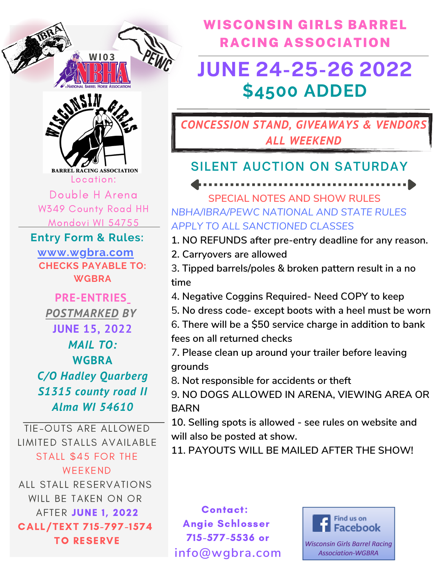



**BARREL RACING ASSOCIATION** Location:

Double H Arena W349 County Road HH Mondovi WI 54755

**Entry Form & Rules:**

**CHECKS PAYABLE TO: WGBRA www.wgbra.com**

**PRE-ENTRIES** *POSTMARKED BY* **JUNE 15, 2022** *MAIL TO:* **WGBRA** *C/O Hadley Quarberg S1315 county road II Alma WI 54610*

TIE-OUTS ARE ALLOWED LIMITED STALLS AVAILABLE STALL \$45 FOR THE WEEKEND ALL STALL RESERVATIONS WILL BE TAKEN ON OR AFTER JUNE 1, 2022 CALL/TEXT 715-797-1574 TO RESERVE

WISCONSIN GIRLS BARREL RACING ASSOCIATION

# **JUNE 24-25-26 2022 \$4500 ADDED**

**CONCESSION STAND, GIVEAWAYS & VENDOR** *ALL WEEKEND*

## **SILENT AUCTION ON SATURDAY**

**SPECIAL NOTES AND SHOW RULES** *NBHA/IBRA/PEWC NATIONAL AND STATE RULES APPLY TO ALL SANCTIONED CLASSES*

----------------

**1. NO REFUNDS after pre-entry deadline for any reason.**

- **2. Carryovers are allowed**
- 3**. Tipped barrels/poles & broken pattern result in a no time**
- 4**. Negative Coggins Required- Need COPY to keep**
- 5**. No dress code- except boots with a heel must be worn**
- 6**. There will be a \$50 service charge in addition to bank fees on all returned checks**
- 7**. Please clean up around your trailer before leaving grounds**
- 8**. Not responsible for accidents or theft**

9**. NO DOGS ALLOWED IN ARENA, VIEWING AREA OR BARN**

**10. Selling spots is allowed - see rules on website and will also be posted at show.**

**11. PAYOUTS WILL BE MAILED AFTER THE SHOW!**

Contact: Angie Schlosser 715-577-5536 or **info@wgbra.com**